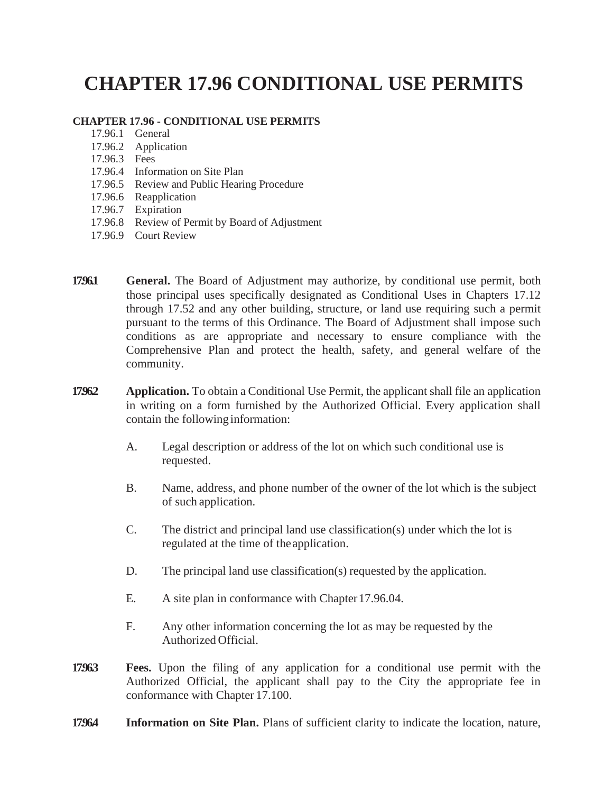## **CHAPTER 17.96 CONDITIONAL USE PERMITS**

## **CHAPTER 17.96 - CONDITIONAL USE PERMITS**

- 17.96.1 General
- 17.96.2 Application
- 17.96.3 Fees
- 17.96.4 Information on Site Plan
- 17.96.5 Review and Public Hearing Procedure
- 17.96.6 Reapplication
- 17.96.7 Expiration
- 17.96.8 Review of Permit by Board of Adjustment
- 17.96.9 Court Review
- **17.96.1 General.** The Board of Adjustment may authorize, by conditional use permit, both those principal uses specifically designated as Conditional Uses in Chapters 17.12 through 17.52 and any other building, structure, or land use requiring such a permit pursuant to the terms of this Ordinance. The Board of Adjustment shall impose such conditions as are appropriate and necessary to ensure compliance with the Comprehensive Plan and protect the health, safety, and general welfare of the community.
- **1796.2 Application.** To obtain a Conditional Use Permit, the applicant shall file an application in writing on a form furnished by the Authorized Official. Every application shall contain the following information:
	- A. Legal description or address of the lot on which such conditional use is requested.
	- B. Name, address, and phone number of the owner of the lot which is the subject of such application.
	- C. The district and principal land use classification(s) under which the lot is regulated at the time of theapplication.
	- D. The principal land use classification(s) requested by the application.
	- E. A site plan in conformance with Chapter 17.96.04.
	- F. Any other information concerning the lot as may be requested by the Authorized Official.
- **17.96.3 Fees.** Upon the filing of any application for a conditional use permit with the Authorized Official, the applicant shall pay to the City the appropriate fee in conformance with Chapter 17.100.
- **17.96.4 Information on Site Plan.** Plans of sufficient clarity to indicate the location, nature,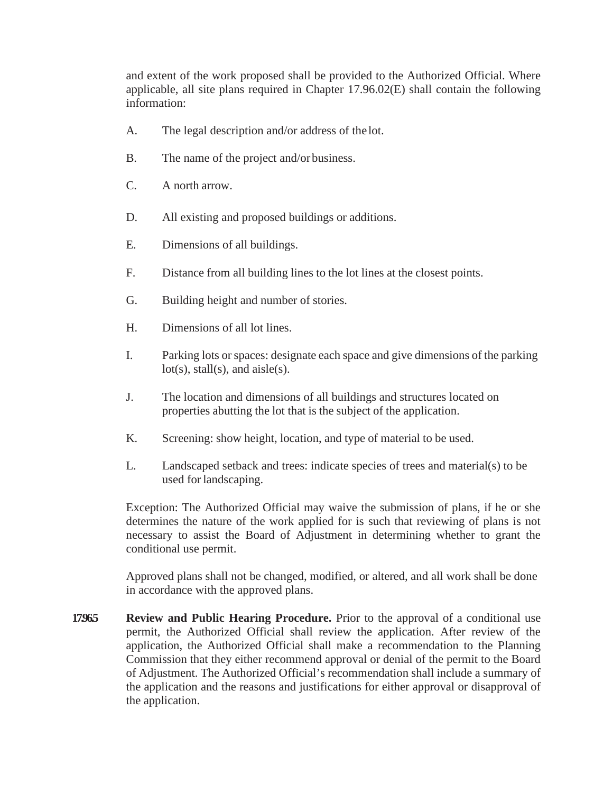and extent of the work proposed shall be provided to the Authorized Official. Where applicable, all site plans required in Chapter 17.96.02(E) shall contain the following information:

- A. The legal description and/or address of the lot.
- B. The name of the project and/or business.
- C. A north arrow.
- D. All existing and proposed buildings or additions.
- E. Dimensions of all buildings.
- F. Distance from all building lines to the lot lines at the closest points.
- G. Building height and number of stories.
- H. Dimensions of all lot lines.
- I. Parking lots orspaces: designate each space and give dimensions of the parking  $lot(s)$ , stall(s), and aisle(s).
- J. The location and dimensions of all buildings and structures located on properties abutting the lot that is the subject of the application.
- K. Screening: show height, location, and type of material to be used.
- L. Landscaped setback and trees: indicate species of trees and material(s) to be used for landscaping.

Exception: The Authorized Official may waive the submission of plans, if he or she determines the nature of the work applied for is such that reviewing of plans is not necessary to assist the Board of Adjustment in determining whether to grant the conditional use permit.

Approved plans shall not be changed, modified, or altered, and all work shall be done in accordance with the approved plans.

**17965 Review and Public Hearing Procedure.** Prior to the approval of a conditional use permit, the Authorized Official shall review the application. After review of the application, the Authorized Official shall make a recommendation to the Planning Commission that they either recommend approval or denial of the permit to the Board of Adjustment. The Authorized Official's recommendation shall include a summary of the application and the reasons and justifications for either approval or disapproval of the application.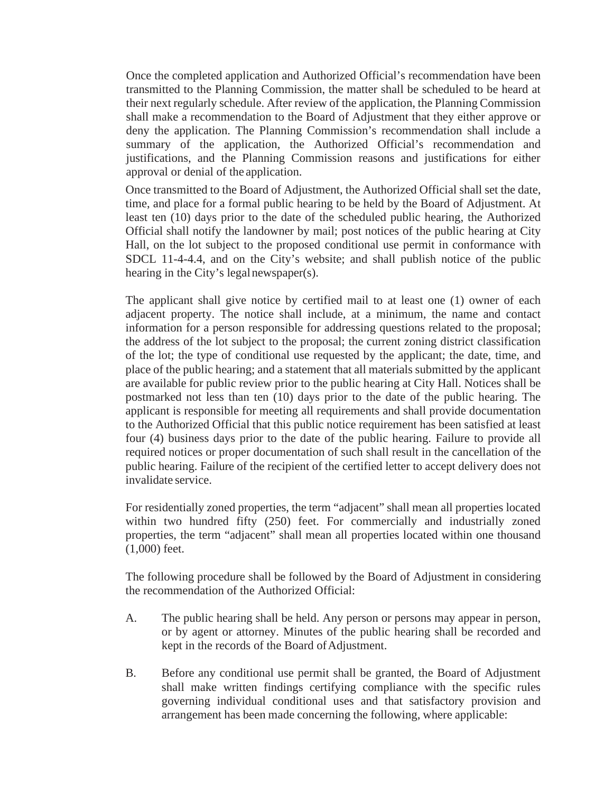Once the completed application and Authorized Official's recommendation have been transmitted to the Planning Commission, the matter shall be scheduled to be heard at their next regularly schedule. After review of the application, the Planning Commission shall make a recommendation to the Board of Adjustment that they either approve or deny the application. The Planning Commission's recommendation shall include a summary of the application, the Authorized Official's recommendation and justifications, and the Planning Commission reasons and justifications for either approval or denial of the application.

Once transmitted to the Board of Adjustment, the Authorized Official shall set the date, time, and place for a formal public hearing to be held by the Board of Adjustment. At least ten (10) days prior to the date of the scheduled public hearing, the Authorized Official shall notify the landowner by mail; post notices of the public hearing at City Hall, on the lot subject to the proposed conditional use permit in conformance with SDCL 11-4-4.4, and on the City's website; and shall publish notice of the public hearing in the City's legal newspaper(s).

The applicant shall give notice by certified mail to at least one (1) owner of each adjacent property. The notice shall include, at a minimum, the name and contact information for a person responsible for addressing questions related to the proposal; the address of the lot subject to the proposal; the current zoning district classification of the lot; the type of conditional use requested by the applicant; the date, time, and place of the public hearing; and a statement that all materials submitted by the applicant are available for public review prior to the public hearing at City Hall. Notices shall be postmarked not less than ten (10) days prior to the date of the public hearing. The applicant is responsible for meeting all requirements and shall provide documentation to the Authorized Official that this public notice requirement has been satisfied at least four (4) business days prior to the date of the public hearing. Failure to provide all required notices or proper documentation of such shall result in the cancellation of the public hearing. Failure of the recipient of the certified letter to accept delivery does not invalidate service.

For residentially zoned properties, the term "adjacent" shall mean all properties located within two hundred fifty (250) feet. For commercially and industrially zoned properties, the term "adjacent" shall mean all properties located within one thousand (1,000) feet.

The following procedure shall be followed by the Board of Adjustment in considering the recommendation of the Authorized Official:

- A. The public hearing shall be held. Any person or persons may appear in person, or by agent or attorney. Minutes of the public hearing shall be recorded and kept in the records of the Board of Adjustment.
- B. Before any conditional use permit shall be granted, the Board of Adjustment shall make written findings certifying compliance with the specific rules governing individual conditional uses and that satisfactory provision and arrangement has been made concerning the following, where applicable: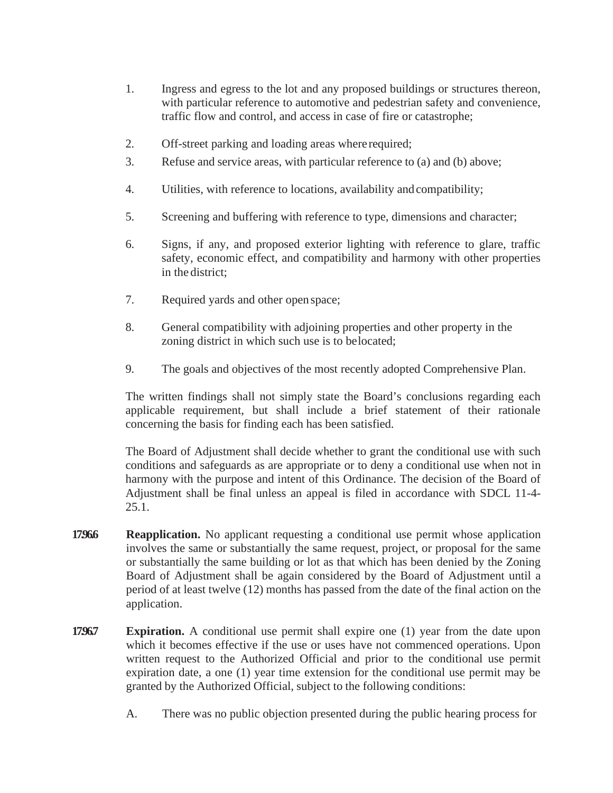- 1. Ingress and egress to the lot and any proposed buildings or structures thereon, with particular reference to automotive and pedestrian safety and convenience, traffic flow and control, and access in case of fire or catastrophe;
- 2. Off-street parking and loading areas whererequired;
- 3. Refuse and service areas, with particular reference to (a) and (b) above;
- 4. Utilities, with reference to locations, availability andcompatibility;
- 5. Screening and buffering with reference to type, dimensions and character;
- 6. Signs, if any, and proposed exterior lighting with reference to glare, traffic safety, economic effect, and compatibility and harmony with other properties in the district;
- 7. Required yards and other open space;
- 8. General compatibility with adjoining properties and other property in the zoning district in which such use is to belocated;
- 9. The goals and objectives of the most recently adopted Comprehensive Plan.

The written findings shall not simply state the Board's conclusions regarding each applicable requirement, but shall include a brief statement of their rationale concerning the basis for finding each has been satisfied.

The Board of Adjustment shall decide whether to grant the conditional use with such conditions and safeguards as are appropriate or to deny a conditional use when not in harmony with the purpose and intent of this Ordinance. The decision of the Board of Adjustment shall be final unless an appeal is filed in accordance with SDCL 11-4- 25.1.

- **17966. Reapplication.** No applicant requesting a conditional use permit whose application involves the same or substantially the same request, project, or proposal for the same or substantially the same building or lot as that which has been denied by the Zoning Board of Adjustment shall be again considered by the Board of Adjustment until a period of at least twelve (12) months has passed from the date of the final action on the application.
- **1796.7 Expiration.** A conditional use permit shall expire one (1) year from the date upon which it becomes effective if the use or uses have not commenced operations. Upon written request to the Authorized Official and prior to the conditional use permit expiration date, a one (1) year time extension for the conditional use permit may be granted by the Authorized Official, subject to the following conditions:
	- A. There was no public objection presented during the public hearing process for